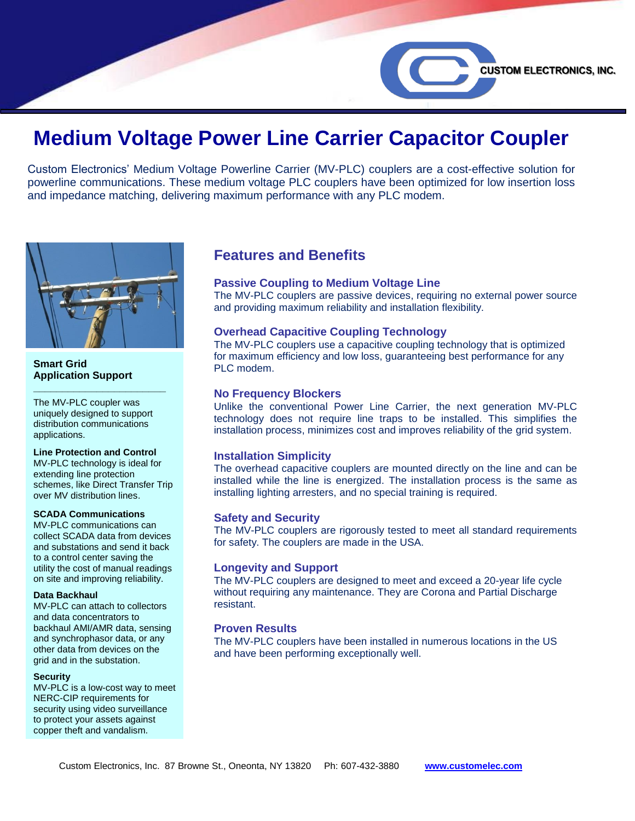# **Medium Voltage Power Line Carrier Capacitor Coupler**

Custom Electronics' Medium Voltage Powerline Carrier (MV-PLC) couplers are a cost-effective solution for powerline communications. These medium voltage PLC couplers have been optimized for low insertion loss and impedance matching, delivering maximum performance with any PLC modem.



#### **Smart Grid Application Support**

The MV-PLC coupler was uniquely designed to support distribution communications applications.

**\_\_\_\_\_\_\_\_\_\_\_\_\_\_\_\_\_\_\_\_\_\_\_**

#### **Line Protection and Control**

MV-PLC technology is ideal for extending line protection schemes, like Direct Transfer Trip over MV distribution lines.

#### **SCADA Communications**

MV-PLC communications can collect SCADA data from devices and substations and send it back to a control center saving the utility the cost of manual readings on site and improving reliability.

#### **Data Backhaul**

MV-PLC can attach to collectors and data concentrators to backhaul AMI/AMR data, sensing and synchrophasor data, or any other data from devices on the grid and in the substation.

#### **Security**

MV-PLC is a low-cost way to meet NERC-CIP requirements for security using video surveillance to protect your assets against copper theft and vandalism.

# **Features and Benefits**

## **Passive Coupling to Medium Voltage Line**

The MV-PLC couplers are passive devices, requiring no external power source and providing maximum reliability and installation flexibility.

**CUSTOM ELECTRONICS, INC.** 

## **Overhead Capacitive Coupling Technology**

The MV-PLC couplers use a capacitive coupling technology that is optimized for maximum efficiency and low loss, guaranteeing best performance for any PLC modem.

#### **No Frequency Blockers**

Unlike the conventional Power Line Carrier, the next generation MV-PLC technology does not require line traps to be installed. This simplifies the installation process, minimizes cost and improves reliability of the grid system.

#### **Installation Simplicity**

The overhead capacitive couplers are mounted directly on the line and can be installed while the line is energized. The installation process is the same as installing lighting arresters, and no special training is required.

#### **Safety and Security**

The MV-PLC couplers are rigorously tested to meet all standard requirements for safety. The couplers are made in the USA.

#### **Longevity and Support**

The MV-PLC couplers are designed to meet and exceed a 20-year life cycle without requiring any maintenance. They are Corona and Partial Discharge resistant.

#### **Proven Results**

The MV-PLC couplers have been installed in numerous locations in the US and have been performing exceptionally well.